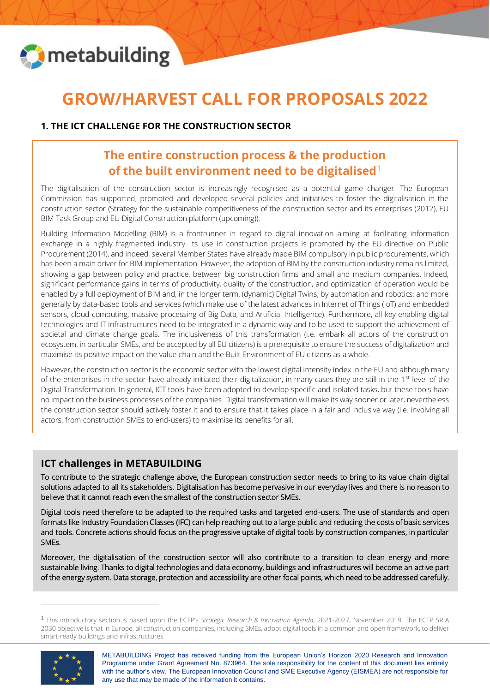

֦

# **GROW/HARVEST CALL FOR PROPOSALS 2022**

### **1. THE ICT CHALLENGE FOR THE CONSTRUCTION SECTOR**

## **The entire construction process & the production of the built environment need to be digitalised**<sup>1</sup>

The digitalisation of the construction sector is increasingly recognised as a potential game changer. The European Commission has supported, promoted and developed several policies and initiatives to foster the digitalisation in the construction sector (Strategy for the sustainable competitiveness of the construction sector and its enterprises (2012), EU BIM Task Group and EU Digital Construction platform (upcoming)).

Building Information Modelling (BIM) is a frontrunner in regard to digital innovation aiming at facilitating information exchange in a highly fragmented industry. Its use in construction projects is promoted by the EU directive on Public Procurement (2014), and indeed, several Member States have already made BIM compulsory in public procurements, which has been a main driver for BIM implementation. However, the adoption of BIM by the construction industry remains limited, showing a gap between policy and practice, between big construction firms and small and medium companies. Indeed, significant performance gains in terms of productivity, quality of the construction, and optimization of operation would be enabled by a full deployment of BIM and, in the longer term, (dynamic) Digital Twins; by automation and robotics; and more generally by data-based tools and services (which make use of the latest advances in Internet of Things (IoT) and embedded sensors, cloud computing, massive processing of Big Data, and Artificial Intelligence). Furthermore, all key enabling digital technologies and IT infrastructures need to be integrated in a dynamic way and to be used to support the achievement of societal and climate change goals. The inclusiveness of this transformation (i.e. embark all actors of the construction ecosystem, in particular SMEs, and be accepted by all EU citizens) is a prerequisite to ensure the success of digitalization and maximise its positive impact on the value chain and the Built Environment of EU citizens as a whole.

However, the construction sector is the economic sector with the lowest digital intensity index in the EU and although many of the enterprises in the sector have already initiated their digitalization, in many cases they are still in the  $1<sup>st</sup>$  level of the Digital Transformation. In general, ICT tools have been adopted to develop specific and isolated tasks, but these tools have no impact on the business processes of the companies. Digital transformation will make its way sooner or later, nevertheless the construction sector should actively foster it and to ensure that it takes place in a fair and inclusive way (i.e. involving all actors, from construction SMEs to end-users) to maximise its benefits for all.

### **ICT challenges in METABUILDING**

To contribute to the strategic challenge above, the European construction sector needs to bring to its value chain digital solutions adapted to all its stakeholders. Digitalisation has become pervasive in our everyday lives and there is no reason to believe that it cannot reach even the smallest of the construction sector SMEs.

Digital tools need therefore to be adapted to the required tasks and targeted end-users. The use of standards and open formats like Industry Foundation Classes (IFC) can help reaching out to a large public and reducing the costs of basic services and tools. Concrete actions should focus on the progressive uptake of digital tools by construction companies, in particular SMEs.

Moreover, the digitalisation of the construction sector will also contribute to a transition to clean energy and more sustainable living. Thanks to digital technologies and data economy, buildings and infrastructures will become an active part of the energy system. Data storage, protection and accessibility are other focal points, which need to be addressed carefully.

<sup>1</sup> This introductory section is based upon the ECTP's *Strategic Research & Innovation Agenda*, 2021-2027, November 2019. The ECTP SRIA 2030 objective is that in Europe, all construction companies, including SMEs, adopt digital tools in a common and open framework, to deliver smart-ready buildings and infrastructures.



METABUILDING Project has received funding from the European Union's Horizon 2020 Research and Innovation Programme under Grant Agreement No. 873964. The sole responsibility for the content of this document lies entirely with the author's view. The European Innovation Council and SME Executive Agency (EISMEA) are not responsible for any use that may be made of the information it contains.